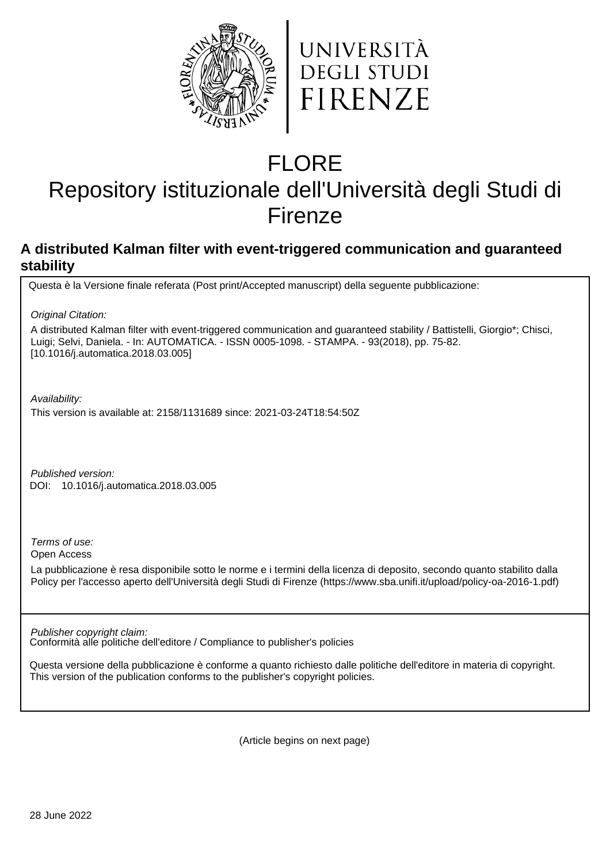



# FLORE

## Repository istituzionale dell'Università degli Studi di Firenze

### **A distributed Kalman filter with event-triggered communication and guaranteed stability**

Questa è la Versione finale referata (Post print/Accepted manuscript) della seguente pubblicazione:

Original Citation:

A distributed Kalman filter with event-triggered communication and guaranteed stability / Battistelli, Giorgio\*; Chisci, Luigi; Selvi, Daniela. - In: AUTOMATICA. - ISSN 0005-1098. - STAMPA. - 93(2018), pp. 75-82. [10.1016/j.automatica.2018.03.005]

Availability:

This version is available at: 2158/1131689 since: 2021-03-24T18:54:50Z

Published version: 10.1016/j.automatica.2018.03.005 DOI:

Terms of use:

Open Access

La pubblicazione è resa disponibile sotto le norme e i termini della licenza di deposito, secondo quanto stabilito dalla Policy per l'accesso aperto dell'Università degli Studi di Firenze (https://www.sba.unifi.it/upload/policy-oa-2016-1.pdf)

Conformità alle politiche dell'editore / Compliance to publisher's policies Publisher copyright claim:

Questa versione della pubblicazione è conforme a quanto richiesto dalle politiche dell'editore in materia di copyright. This version of the publication conforms to the publisher's copyright policies.

(Article begins on next page)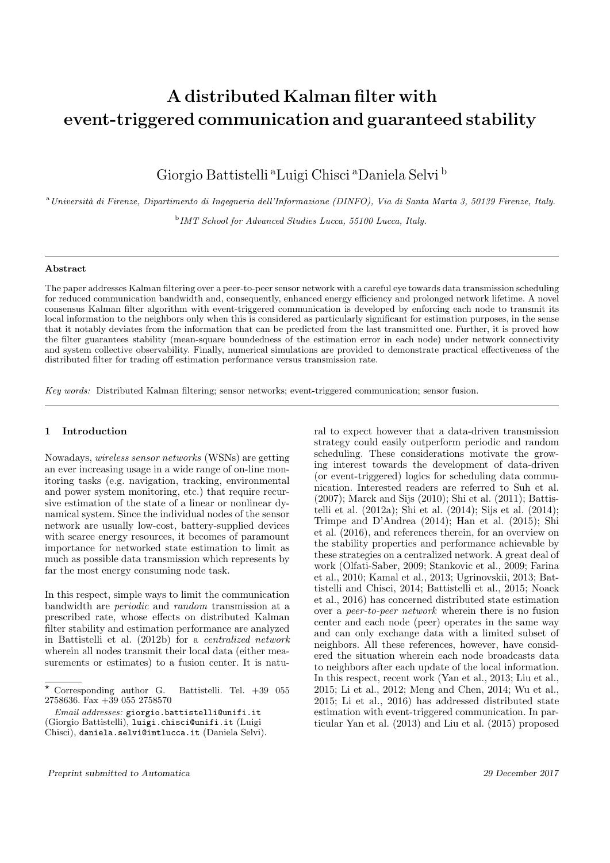## A distributed Kalman filter with event-triggered communication and guaranteed stability

Giorgio Battistelli <sup>a</sup>Luigi Chisci <sup>a</sup>Daniela Selvi <sup>b</sup>

<sup>a</sup>Universit`a di Firenze, Dipartimento di Ingegneria dell'Informazione (DINFO), Via di Santa Marta 3, 50139 Firenze, Italy.

<sup>b</sup> IMT School for Advanced Studies Lucca, 55100 Lucca, Italy.

#### Abstract

The paper addresses Kalman filtering over a peer-to-peer sensor network with a careful eye towards data transmission scheduling for reduced communication bandwidth and, consequently, enhanced energy efficiency and prolonged network lifetime. A novel consensus Kalman filter algorithm with event-triggered communication is developed by enforcing each node to transmit its local information to the neighbors only when this is considered as particularly significant for estimation purposes, in the sense that it notably deviates from the information that can be predicted from the last transmitted one. Further, it is proved how the filter guarantees stability (mean-square boundedness of the estimation error in each node) under network connectivity and system collective observability. Finally, numerical simulations are provided to demonstrate practical effectiveness of the distributed filter for trading off estimation performance versus transmission rate.

Key words: Distributed Kalman filtering; sensor networks; event-triggered communication; sensor fusion.

#### 1 Introduction

Nowadays, wireless sensor networks (WSNs) are getting an ever increasing usage in a wide range of on-line monitoring tasks (e.g. navigation, tracking, environmental and power system monitoring, etc.) that require recursive estimation of the state of a linear or nonlinear dynamical system. Since the individual nodes of the sensor network are usually low-cost, battery-supplied devices with scarce energy resources, it becomes of paramount importance for networked state estimation to limit as much as possible data transmission which represents by far the most energy consuming node task.

In this respect, simple ways to limit the communication bandwidth are periodic and random transmission at a prescribed rate, whose effects on distributed Kalman filter stability and estimation performance are analyzed in Battistelli et al. (2012b) for a centralized network wherein all nodes transmit their local data (either measurements or estimates) to a fusion center. It is natu-

ral to expect however that a data-driven transmission strategy could easily outperform periodic and random scheduling. These considerations motivate the growing interest towards the development of data-driven (or event-triggered) logics for scheduling data communication. Interested readers are referred to Suh et al. (2007); Marck and Sijs (2010); Shi et al. (2011); Battistelli et al. (2012a); Shi et al. (2014); Sijs et al. (2014); Trimpe and D'Andrea (2014); Han et al. (2015); Shi et al. (2016), and references therein, for an overview on the stability properties and performance achievable by these strategies on a centralized network. A great deal of work (Olfati-Saber, 2009; Stankovic et al., 2009; Farina et al., 2010; Kamal et al., 2013; Ugrinovskii, 2013; Battistelli and Chisci, 2014; Battistelli et al., 2015; Noack et al., 2016) has concerned distributed state estimation over a peer-to-peer network wherein there is no fusion center and each node (peer) operates in the same way and can only exchange data with a limited subset of neighbors. All these references, however, have considered the situation wherein each node broadcasts data to neighbors after each update of the local information. In this respect, recent work (Yan et al., 2013; Liu et al., 2015; Li et al., 2012; Meng and Chen, 2014; Wu et al., 2015; Li et al., 2016) has addressed distributed state estimation with event-triggered communication. In particular Yan et al. (2013) and Liu et al. (2015) proposed

 $\star$  Corresponding author G. Battistelli. Tel.  $+39$  055 2758636. Fax +39 055 2758570

Email addresses: giorgio.battistelli@unifi.it

<sup>(</sup>Giorgio Battistelli), luigi.chisci@unifi.it (Luigi Chisci), daniela.selvi@imtlucca.it (Daniela Selvi).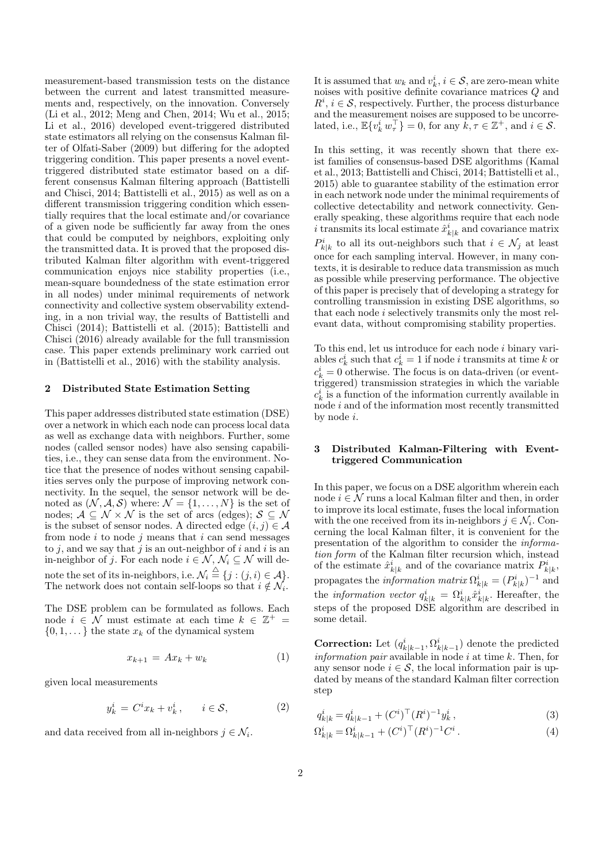measurement-based transmission tests on the distance between the current and latest transmitted measurements and, respectively, on the innovation. Conversely (Li et al., 2012; Meng and Chen, 2014; Wu et al., 2015; Li et al., 2016) developed event-triggered distributed state estimators all relying on the consensus Kalman filter of Olfati-Saber (2009) but differing for the adopted triggering condition. This paper presents a novel eventtriggered distributed state estimator based on a different consensus Kalman filtering approach (Battistelli and Chisci, 2014; Battistelli et al., 2015) as well as on a different transmission triggering condition which essentially requires that the local estimate and/or covariance of a given node be sufficiently far away from the ones that could be computed by neighbors, exploiting only the transmitted data. It is proved that the proposed distributed Kalman filter algorithm with event-triggered communication enjoys nice stability properties (i.e., mean-square boundedness of the state estimation error in all nodes) under minimal requirements of network connectivity and collective system observability extending, in a non trivial way, the results of Battistelli and Chisci (2014); Battistelli et al. (2015); Battistelli and Chisci (2016) already available for the full transmission case. This paper extends preliminary work carried out in (Battistelli et al., 2016) with the stability analysis.

#### 2 Distributed State Estimation Setting

This paper addresses distributed state estimation (DSE) over a network in which each node can process local data as well as exchange data with neighbors. Further, some nodes (called sensor nodes) have also sensing capabilities, i.e., they can sense data from the environment. Notice that the presence of nodes without sensing capabilities serves only the purpose of improving network connectivity. In the sequel, the sensor network will be denoted as  $(N, \mathcal{A}, \mathcal{S})$  where:  $\mathcal{N} = \{1, \ldots, N\}$  is the set of nodes;  $\mathcal{A} \subseteq \mathcal{N} \times \mathcal{N}$  is the set of arcs (edges);  $\mathcal{S} \subseteq \mathcal{N}$ is the subset of sensor nodes. A directed edge  $(i, j) \in \mathcal{A}$ from node  $i$  to node  $j$  means that  $i$  can send messages to  $j$ , and we say that  $j$  is an out-neighbor of  $i$  and  $i$  is an in-neighbor of j. For each node  $i \in \mathcal{N}, \mathcal{N}_i \subseteq \mathcal{N}$  will denote the set of its in-neighbors, i.e.  $\mathcal{N}_i \stackrel{\triangle}{=} \{j : (j,i) \in \mathcal{A}\}.$ The network does not contain self-loops so that  $i \notin \mathcal{N}_i$ .

The DSE problem can be formulated as follows. Each node  $i \in \mathcal{N}$  must estimate at each time  $k \in \mathbb{Z}^+$  =  $\{0, 1, \ldots\}$  the state  $x_k$  of the dynamical system

$$
x_{k+1} = Ax_k + w_k \tag{1}
$$

given local measurements

$$
y_k^i = C^i x_k + v_k^i, \qquad i \in \mathcal{S}, \tag{2}
$$

and data received from all in-neighbors  $j \in \mathcal{N}_i$ .

It is assumed that  $w_k$  and  $v_k^i$ ,  $i \in \mathcal{S}$ , are zero-mean white noises with positive definite covariance matrices Q and  $R^i$ ,  $i \in \mathcal{S}$ , respectively. Further, the process disturbance and the measurement noises are supposed to be uncorrelated, i.e.,  $\mathbb{E}\{v_k^i w_\tau^\top\} = 0$ , for any  $\hat{k}, \tau \in \mathbb{Z}^+$ , and  $i \in \mathcal{S}$ .

In this setting, it was recently shown that there exist families of consensus-based DSE algorithms (Kamal et al., 2013; Battistelli and Chisci, 2014; Battistelli et al., 2015) able to guarantee stability of the estimation error in each network node under the minimal requirements of collective detectability and network connectivity. Generally speaking, these algorithms require that each node i transmits its local estimate  $\hat{x}_{k|k}^i$  and covariance matrix  $P_{k|k}^i$  to all its out-neighbors such that  $i \in \mathcal{N}_j$  at least once for each sampling interval. However, in many contexts, it is desirable to reduce data transmission as much as possible while preserving performance. The objective of this paper is precisely that of developing a strategy for controlling transmission in existing DSE algorithms, so that each node i selectively transmits only the most relevant data, without compromising stability properties.

To this end, let us introduce for each node  $i$  binary variables  $c_k^i$  such that  $c_k^i = 1$  if node *i* transmits at time *k* or  $c_k^i = 0$  otherwise. The focus is on data-driven (or eventtriggered) transmission strategies in which the variable  $c_k^i$  is a function of the information currently available in node i and of the information most recently transmitted by node i.

#### 3 Distributed Kalman-Filtering with Eventtriggered Communication

In this paper, we focus on a DSE algorithm wherein each node  $i \in \mathcal{N}$  runs a local Kalman filter and then, in order to improve its local estimate, fuses the local information with the one received from its in-neighbors  $j \in \mathcal{N}_i$ . Concerning the local Kalman filter, it is convenient for the presentation of the algorithm to consider the information form of the Kalman filter recursion which, instead of the estimate  $\hat{x}_{k|k}^i$  and of the covariance matrix  $P_{k|k}^i$ , propagates the *information matrix*  $\Omega_{k|k}^{i} = (P_{k|k}^{i})^{-1}$  and the *information vector*  $q_{k|k}^i = \Omega_{k|k}^i \hat{x}_{k|k}^i$ . Hereafter, the steps of the proposed DSE algorithm are described in some detail.

**Correction:** Let  $(q_{k|k-1}^i, \Omega_{k|k-1}^i)$  denote the predicted *information pair* available in node  $i$  at time  $k$ . Then, for any sensor node  $i \in \mathcal{S}$ , the local information pair is updated by means of the standard Kalman filter correction step

$$
q_{k|k}^i = q_{k|k-1}^i + (C^i)^\top (R^i)^{-1} y_k^i , \qquad (3)
$$

$$
\Omega_{k|k}^i = \Omega_{k|k-1}^i + (C^i)^\top (R^i)^{-1} C^i.
$$
 (4)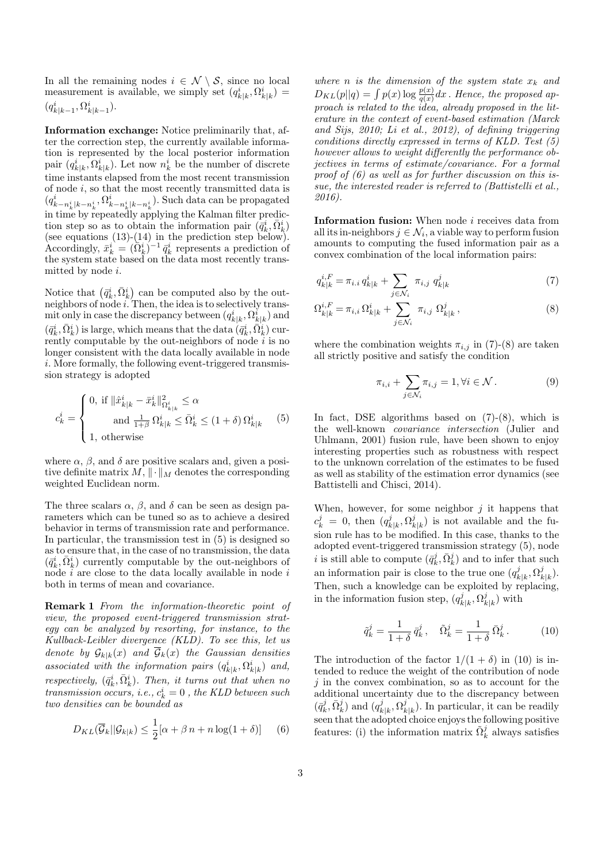In all the remaining nodes  $i \in \mathcal{N} \setminus \mathcal{S}$ , since no local measurement is available, we simply set  $(q_{k|k}^i, \Omega_{k|k}^i)$  =  $(q_{k|k-1}^i, \Omega_{k|k-1}^i).$ 

Information exchange: Notice preliminarily that, after the correction step, the currently available information is represented by the local posterior information pair  $(q_{k|k}^i, \Omega_{k|k}^i)$ . Let now  $n_k^i$  be the number of discrete time instants elapsed from the most recent transmission of node  $i$ , so that the most recently transmitted data is  $(q_{k-n_k^i|k-n_k^i}^i,\Omega_{k-n_k^i|k-n_k^i}^i)$ . Such data can be propagated in time by repeatedly applying the Kalman filter prediction step so as to obtain the information pair  $(\bar{q}_k^i, \bar{\Omega}_k^i)$ (see equations  $(13)-(14)$  in the prediction step below). Accordingly,  $\bar{x}_k^i = (\bar{\Omega}_k^i)^{-1} \bar{q}_k^i$  represents a prediction of the system state based on the data most recently transmitted by node  $i$ .

Notice that  $(\bar{q}_k^i, \bar{\Omega}_k^i)$  can be computed also by the outneighbors of node *i*. Then, the idea is to selectively transmit only in case the discrepancy between  $(q_{k|k}^i, \Omega_{k|k}^i)$  and  $(\bar{q}^i_k, \bar{\Omega}^i_k)$  is large, which means that the data  $(\bar{q}^i_k, \bar{\Omega}^i_k)$  currently computable by the out-neighbors of node  $i$  is no longer consistent with the data locally available in node i. More formally, the following event-triggered transmission strategy is adopted

$$
c_k^i = \begin{cases} \n0, \text{ if } \|\hat{x}_{k|k}^i - \bar{x}_k^i\|_{\Omega_{k|k}^i}^2 \leq \alpha \\ \n\text{ and } \frac{1}{1+\beta} \Omega_{k|k}^i \leq \bar{\Omega}_k^i \leq (1+\delta) \Omega_{k|k}^i \n\end{cases} \tag{5}
$$
\n
$$
1, \text{ otherwise}
$$

where  $\alpha$ ,  $\beta$ , and  $\delta$  are positive scalars and, given a positive definite matrix  $M$ ,  $\|\cdot\|_M$  denotes the corresponding weighted Euclidean norm.

The three scalars  $\alpha$ ,  $\beta$ , and  $\delta$  can be seen as design parameters which can be tuned so as to achieve a desired behavior in terms of transmission rate and performance. In particular, the transmission test in (5) is designed so as to ensure that, in the case of no transmission, the data  $(\bar{q}_k^i, \bar{\Omega}_k^i)$  currently computable by the out-neighbors of node  $i$  are close to the data locally available in node  $i$ both in terms of mean and covariance.

Remark 1 From the information-theoretic point of view, the proposed event-triggered transmission strategy can be analyzed by resorting, for instance, to the Kullback-Leibler divergence (KLD). To see this, let us denote by  $\mathcal{G}_{k|k}(x)$  and  $\overline{\mathcal{G}}_k(x)$  the Gaussian densities associated with the information pairs  $(q_{k|k}^i, \Omega_{k|k}^i)$  and, respectively,  $(\bar{q}_k^i, \bar{\Omega}_k^i)$ . Then, it turns out that when no  $transmission$  occurs, i.e.,  $c_k^i = 0$  , the KLD between such two densities can be bounded as

$$
D_{KL}(\overline{\mathcal{G}}_k||\mathcal{G}_{k|k}) \le \frac{1}{2} [\alpha + \beta n + n \log(1 + \delta)] \quad (6)
$$

where n is the dimension of the system state  $x_k$  and  $D_{KL}(p||q) = \int p(x) \log \frac{p(x)}{q(x)} dx$ . Hence, the proposed approach is related to the idea, already proposed in the literature in the context of event-based estimation (Marck and Sijs, 2010; Li et al., 2012), of defining triggering conditions directly expressed in terms of KLD. Test (5) however allows to weight differently the performance objectives in terms of estimate/covariance. For a formal proof of (6) as well as for further discussion on this issue, the interested reader is referred to (Battistelli et al., 2016).

Information fusion: When node *i* receives data from all its in-neighbors  $j \in \mathcal{N}_i$ , a viable way to perform fusion amounts to computing the fused information pair as a convex combination of the local information pairs:

$$
q_{k|k}^{i,F} = \pi_{i.i} q_{k|k}^i + \sum_{j \in \mathcal{N}_i} \pi_{i,j} q_{k|k}^j \tag{7}
$$

$$
\Omega_{k|k}^{i,F} = \pi_{i,i} \,\Omega_{k|k}^i + \sum_{j \in \mathcal{N}_i} \pi_{i,j} \,\Omega_{k|k}^j \,,\tag{8}
$$

where the combination weights  $\pi_{i,j}$  in (7)-(8) are taken all strictly positive and satisfy the condition

$$
\pi_{i,i} + \sum_{j \in \mathcal{N}_i} \pi_{i,j} = 1, \forall i \in \mathcal{N}.
$$
 (9)

In fact, DSE algorithms based on (7)-(8), which is the well-known covariance intersection (Julier and Uhlmann, 2001) fusion rule, have been shown to enjoy interesting properties such as robustness with respect to the unknown correlation of the estimates to be fused as well as stability of the estimation error dynamics (see Battistelli and Chisci, 2014).

When, however, for some neighbor  $j$  it happens that  $c_k^j = 0$ , then  $(q_k^j)$  $j_{k|k}^j, \Omega_k^j$  $\binom{3}{k|k}$  is not available and the fusion rule has to be modified. In this case, thanks to the adopted event-triggered transmission strategy (5), node *i* is still able to compute  $(\bar{q}_k^j, \bar{\Omega}_k^j)$  and to infer that such an information pair is close to the true one  $(q_i^j)$  $g_{k|k}^j, \Omega_k^j$  $_{k|k}^{j}).$ Then, such a knowledge can be exploited by replacing, in the information fusion step,  $(q_k^j)$  $g_{k|k}^j, \Omega_k^j$  $\binom{J}{k|k}$  with

$$
\tilde{q}_k^j = \frac{1}{1+\delta} \,\bar{q}_k^j \,, \quad \tilde{\Omega}_k^j = \frac{1}{1+\delta} \,\bar{\Omega}_k^j \,. \tag{10}
$$

The introduction of the factor  $1/(1 + \delta)$  in (10) is intended to reduce the weight of the contribution of node  $j$  in the convex combination, so as to account for the additional uncertainty due to the discrepancy between  $(\bar{q}^j_k, \bar{\Omega}^j_k)$  and  $(q^j_k$  $j_{k|k}^j, \Omega_k^j$  $\binom{J}{k|k}$ . In particular, it can be readily seen that the adopted choice enjoys the following positive features: (i) the information matrix  $\tilde{\Omega}_k^j$  always satisfies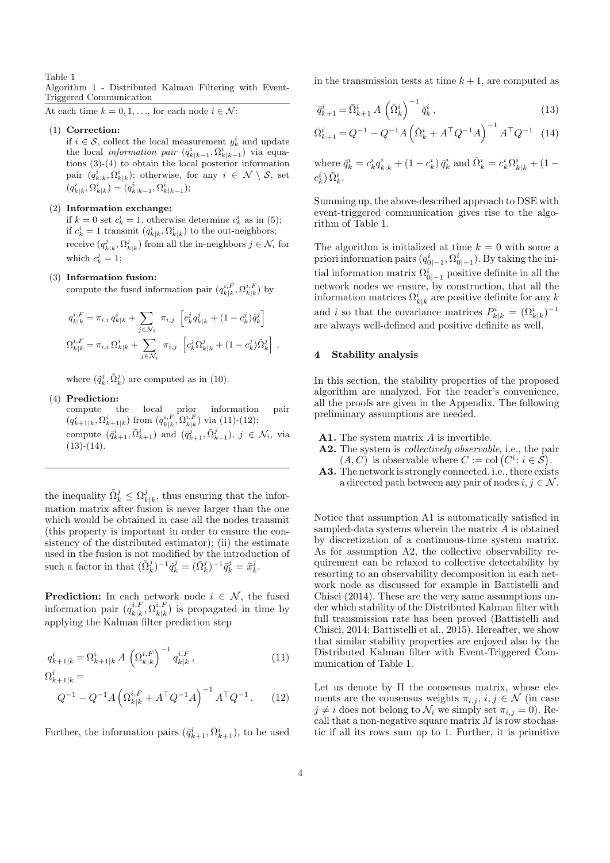Table 1

Algorithm 1 - Distributed Kalman Filtering with Event-Triggered Communication

At each time  $k = 0, 1, \ldots$ , for each node  $i \in \mathcal{N}$ :

#### (1) Correction:

if  $i \in \mathcal{S}$ , collect the local measurement  $y_k^i$  and update the local *information pair*  $(q_{k|k-1}^i, \Omega_{k|k-1}^i)$  via equations (3)-(4) to obtain the local posterior information pair  $(q_{k|k}^i, \Omega_{k|k}^i)$ ; otherwise, for any  $i \in \mathcal{N} \setminus \mathcal{S}$ , set  $(q_{k|k}^i, \Omega_{k|k}^i) = (q_{k|k-1}^i, \Omega_{k|k-1}^i);$ 

#### (2) Information exchange:

if  $k = 0$  set  $c_k^i = 1$ , otherwise determine  $c_k^i$  as in (5); if  $c_k^i = 1$  transmit  $(q_{k|k}^i, \Omega_{k|k}^i)$  to the out-neighbors; receive  $(q_{k|k}^j, \Omega_{k|k}^j)$  from all the in-neighbors  $j \in \mathcal{N}_i$  for which  $c_k^j = 1$ ;

#### (3) Information fusion:

compute the fused information pair  $(q_{k|k}^{i,F}, \Omega_{k|k}^{i,F})$  by

$$
\begin{split} q_{k|k}^{i,F} &= \pi_{i,i} \, q_{k|k}^i + \sum_{j \in \mathcal{N}_i} \; \pi_{i,j} \; \left[ c_k^j q_{k|k}^j + (1-c_k^j) \tilde{q}_k^j \right] \\ \Omega_{k|k}^{i,F} &= \pi_{i,i} \, \Omega_{k|k}^i + \sum_{j \in \mathcal{N}_i} \; \pi_{i,j} \; \left[ c_k^j \Omega_{k|k}^j + (1-c_k^j) \tilde{\Omega}_k^j \right] \, , \end{split}
$$

where  $(\tilde{q}_k^j, \tilde{\Omega}_k^j)$  are computed as in (10).

#### (4) Prediction:

compute the local prior information pair  $(q_{k+1|k}^i, \Omega_{k+1|k}^i)$  from  $(q_{k|k}^{i,F}, \Omega_{k|k}^{i,F})$  via (11)-(12); compute  $(\bar{q}_{k+1}^i, \bar{\Omega}_{k+1}^i)$  and  $(\bar{q}_{k+1}^j, \bar{\Omega}_{k+1}^j), j \in \mathcal{N}_i$ , via  $(13)-(14)$ .

the inequality  $\tilde{\Omega}_k^j \leq \Omega_k^j$  $_{k|k}^{j}$ , thus ensuring that the information matrix after fusion is never larger than the one which would be obtained in case all the nodes transmit (this property is important in order to ensure the consistency of the distributed estimator); (ii) the estimate used in the fusion is not modified by the introduction of such a factor in that  $(\tilde{\Omega}_k^j)^{-1} \tilde{q}_k^j = (\bar{\Omega}_k^j)^{-1} \bar{q}_k^j = \bar{x}_k^j$ .

**Prediction:** In each network node  $i \in \mathcal{N}$ , the fused information pair  $(q_{\scriptscriptstyle{k}|k}^{i,F}$  $\hat{h}_{k|k}^{i,F},\Omega_{k|k}^{i,F}$  $\binom{i, F}{k|k}$  is propagated in time by applying the Kalman filter prediction step

$$
q_{k+1|k}^{i} = \Omega_{k+1|k}^{i} A \left(\Omega_{k|k}^{i,F}\right)^{-1} q_{k|k}^{i,F},
$$
\n
$$
\Omega_{k+1|k}^{i} =
$$
\n
$$
Q^{-1} - Q^{-1} A \left(\Omega_{k|k}^{i,F} + A^{\top} Q^{-1} A\right)^{-1} A^{\top} Q^{-1}. \qquad (12)
$$

Further, the information pairs  $(\bar{q}_{k+1}^i, \bar{\Omega}_{k+1}^i)$ , to be used

in the transmission tests at time  $k + 1$ , are computed as

$$
\bar{q}_{k+1}^i = \bar{\Omega}_{k+1}^i A \left(\breve{\Omega}_k^i\right)^{-1} \breve{q}_k^i ,\qquad (13)
$$

$$
\bar{\Omega}_{k+1}^{i} = Q^{-1} - Q^{-1}A \left( \breve{\Omega}_{k}^{i} + A^{\top} Q^{-1} A \right)^{-1} A^{\top} Q^{-1} \tag{14}
$$

where  $\ddot{q}_k^i = c_k^i q_{k|k}^i + (1 - c_k^i) \, \bar{q}_k^i$  and  $\ddot{\Omega}_k^i = c_k^i \Omega_{k|k}^i + (1 - c_k^i)$  $c_k^i) \,\bar{\Omega}_k^i.$ 

Summing up, the above-described approach to DSE with event-triggered communication gives rise to the algorithm of Table 1.

The algorithm is initialized at time  $k = 0$  with some a priori information pairs  $(q_{0|-1}^i, \Omega_{0|-1}^i)$ . By taking the initial information matrix  $\Omega^i_{0|-1}$  positive definite in all the network nodes we ensure, by construction, that all the information matrices  $\Omega^i_{k|k}$  are positive definite for any k and i so that the covariance matrices  $P_{k|k}^i = (\Omega_{k|k}^i)^{-1}$ are always well-defined and positive definite as well.

#### 4 Stability analysis

In this section, the stability properties of the proposed algorithm are analyzed. For the reader's convenience, all the proofs are given in the Appendix. The following preliminary assumptions are needed.

- A1. The system matrix A is invertible.
- A2. The system is *collectively observable*, i.e., the pair  $(A, C)$  is observable where  $C := col(C^i; i \in \mathcal{S})$ .
- A3. The network is strongly connected, i.e., there exists a directed path between any pair of nodes  $i, j \in \mathcal{N}$ .

Notice that assumption A1 is automatically satisfied in sampled-data systems wherein the matrix A is obtained by discretization of a continuous-time system matrix. As for assumption A2, the collective observability requirement can be relaxed to collective detectability by resorting to an observability decomposition in each network node as discussed for example in Battistelli and Chisci (2014). These are the very same assumptions under which stability of the Distributed Kalman filter with full transmission rate has been proved (Battistelli and Chisci, 2014; Battistelli et al., 2015). Hereafter, we show that similar stability properties are enjoyed also by the Distributed Kalman filter with Event-Triggered Communication of Table 1.

Let us denote by Π the consensus matrix, whose elements are the consensus weights  $\pi_{i,j}, i, j \in \mathcal{N}$  (in case  $j \neq i$  does not belong to  $\mathcal{N}_i$  we simply set  $\pi_{i,j} = 0$ ). Recall that a non-negative square matrix  $M$  is row stochastic if all its rows sum up to 1. Further, it is primitive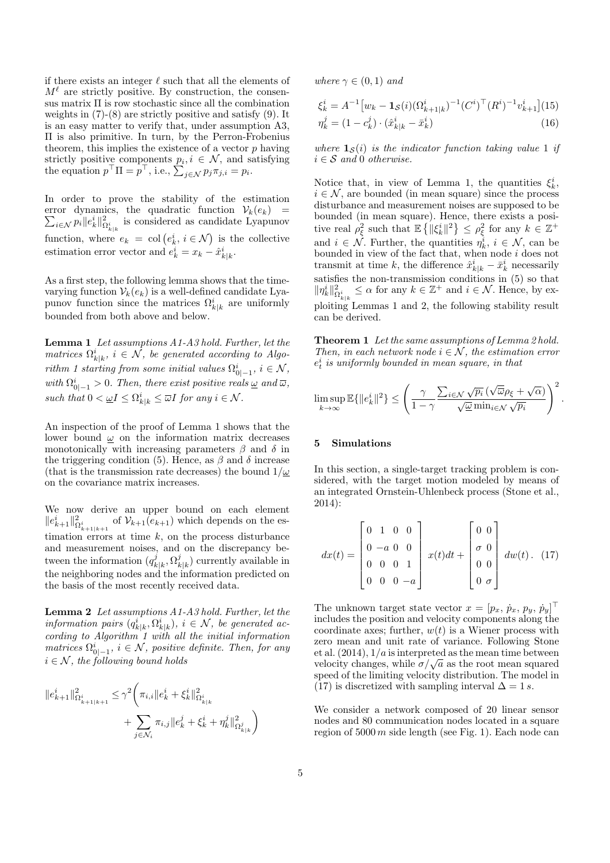if there exists an integer  $\ell$  such that all the elements of  $M^{\ell}$  are strictly positive. By construction, the consensus matrix Π is row stochastic since all the combination weights in (7)-(8) are strictly positive and satisfy (9). It is an easy matter to verify that, under assumption A3, Π is also primitive. In turn, by the Perron-Frobenius theorem, this implies the existence of a vector  $p$  having strictly positive components  $p_i, i \in \mathcal{N}$ , and satisfying the equation  $p^{\top} \Pi = p^{\top}$ , i.e.,  $\sum_{j \in \mathcal{N}} p_j \pi_{j,i} = p_i$ .

In order to prove the stability of the estimation  $\sum_{i \in \mathcal{N}} p_i ||e_k^i||^2_{\Omega^i_{k|k}}$  is considered as candidate Lyapunov error dynamics, the quadratic function  $V_k(e_k)$  = function, where  $e_k = \text{col}(e_k^i, i \in \mathcal{N})$  is the collective estimation error vector and  $e_k^i = x_k - \hat{x}_{k|k}^i$ .

As a first step, the following lemma shows that the timevarying function  $V_k(e_k)$  is a well-defined candidate Lyapunov function since the matrices  $\Omega^i_{k|k}$  are uniformly bounded from both above and below.

Lemma 1 Let assumptions A1-A3 hold. Further, let the matrices  $\Omega^i_{k|k}$ ,  $i \in \mathcal{N}$ , be generated according to Algorithm 1 starting from some initial values  $\Omega^i_{0|-1}$ ,  $i \in \mathcal{N}$ , with  $\Omega_{0|-1}^i > 0$ . Then, there exist positive reals  $\underline{\omega}$  and  $\overline{\omega}$ , such that  $0 < \underline{\omega}I \leq \Omega^i_{k|k} \leq \overline{\omega}I$  for any  $i \in \mathcal{N}$ .

An inspection of the proof of Lemma 1 shows that the lower bound  $\omega$  on the information matrix decreases monotonically with increasing parameters  $\beta$  and  $\delta$  in the triggering condition (5). Hence, as  $\beta$  and  $\delta$  increase (that is the transmission rate decreases) the bound  $1/\omega$ on the covariance matrix increases.

We now derive an upper bound on each element  $||e_{k+1}^i||_{\Omega_{k+1|k+1}^2}^2$  of  $\mathcal{V}_{k+1}(e_{k+1})$  which depends on the estimation errors at time  $k$ , on the process disturbance and measurement noises, and on the discrepancy between the information  $(q_i^j)$  $_{k|k}^{j},\Omega _{k}^{j}$  $\binom{J}{k|k}$  currently available in the neighboring nodes and the information predicted on the basis of the most recently received data.

Lemma 2 Let assumptions A1-A3 hold. Further, let the information pairs  $(q_{k|k}^i, \Omega_{k|k}^i), i \in \mathcal{N}$ , be generated according to Algorithm 1 with all the initial information matrices  $\Omega_{0|-1}^i$ ,  $i \in \mathcal{N}$ , positive definite. Then, for any  $i \in \mathcal{N}$ , the following bound holds

$$
\begin{aligned} \|e_{k+1}^i\|^2_{\Omega^i_{k+1|k+1}} &\leq \gamma^2 \bigg( \pi_{i,i} \|e_k^i+\xi_k^i\|^2_{\Omega^i_{k|k}} \\ &\qquad + \sum_{j \in \mathcal{N}_i} \pi_{i,j} \|e_k^j+\xi_k^i+\eta_k^j\|^2_{\Omega^j_{k|k}} \bigg) \end{aligned}
$$

where  $\gamma \in (0,1)$  and

$$
\xi_k^i = A^{-1} \left[ w_k - \mathbf{1}_{\mathcal{S}}(i) (\Omega_{k+1|k}^i)^{-1} (C^i)^\top (R^i)^{-1} v_{k+1}^i \right] (15)
$$
  

$$
\eta_k^j = (1 - c_k^j) \cdot (\hat{x}_{k|k}^i - \bar{x}_k^i)
$$
(16)

where  $\mathbf{1}_{\mathcal{S}}(i)$  is the indicator function taking value 1 if  $i \in \mathcal{S}$  and 0 otherwise.

Notice that, in view of Lemma 1, the quantities  $\xi_k^i$ ,  $i \in \mathcal{N}$ , are bounded (in mean square) since the process disturbance and measurement noises are supposed to be bounded (in mean square). Hence, there exists a positive real  $\rho_{\xi}^2$  such that  $\mathbb{E}\left\{\|\xi_k^i\|^2\right\} \leq \rho_{\xi}^2$  for any  $k \in \mathbb{Z}^+$ and  $i \in \mathcal{N}$ . Further, the quantities  $\eta_k^i$ ,  $i \in \mathcal{N}$ , can be bounded in view of the fact that, when node i does not transmit at time k, the difference  $\hat{x}_{k|k}^i - \bar{x}_k^i$  necessarily satisfies the non-transmission conditions in (5) so that  $\|\eta_k^i\|_{\Omega_{k|k}^i}^2 \leq \alpha$  for any  $k \in \mathbb{Z}^+$  and  $i \in \mathcal{N}$ . Hence, by exploiting Lemmas 1 and 2, the following stability result can be derived.

Theorem 1 Let the same assumptions of Lemma 2 hold. Then, in each network node  $i \in \mathcal{N}$ , the estimation error  $e_t^i$  is uniformly bounded in mean square, in that

$$
\limsup_{k \to \infty} \mathbb{E}\{\|e_k^i\|^2\} \le \left(\frac{\gamma}{1-\gamma} \frac{\sum_{i \in \mathcal{N}} \sqrt{p_i} \left(\sqrt{\overline{\omega}} \rho_{\xi} + \sqrt{\alpha}\right)}{\sqrt{\underline{\omega}} \min_{i \in \mathcal{N}} \sqrt{p_i}}\right)^2.
$$

#### 5 Simulations

In this section, a single-target tracking problem is considered, with the target motion modeled by means of an integrated Ornstein-Uhlenbeck process (Stone et al., 2014):

$$
dx(t) = \begin{bmatrix} 0 & 1 & 0 & 0 \\ 0 & -a & 0 & 0 \\ 0 & 0 & 0 & 1 \\ 0 & 0 & 0 & -a \end{bmatrix} x(t)dt + \begin{bmatrix} 0 & 0 \\ \sigma & 0 \\ 0 & 0 \\ 0 & \sigma \end{bmatrix} dw(t). (17)
$$

The unknown target state vector  $x = [p_x, \dot{p}_x, p_y, \dot{p}_y]^\top$ includes the position and velocity components along the coordinate axes; further,  $w(t)$  is a Wiener process with zero mean and unit rate of variance. Following Stone et al.  $(2014)$ ,  $1/a$  is interpreted as the mean time between et al. (2014), 1/*a* is interpreted as the mean time between<br>velocity changes, while  $\sigma/\sqrt{a}$  as the root mean squared speed of the limiting velocity distribution. The model in (17) is discretized with sampling interval  $\Delta = 1 s$ .

We consider a network composed of 20 linear sensor nodes and 80 communication nodes located in a square region of  $5000 \, m$  side length (see Fig. 1). Each node can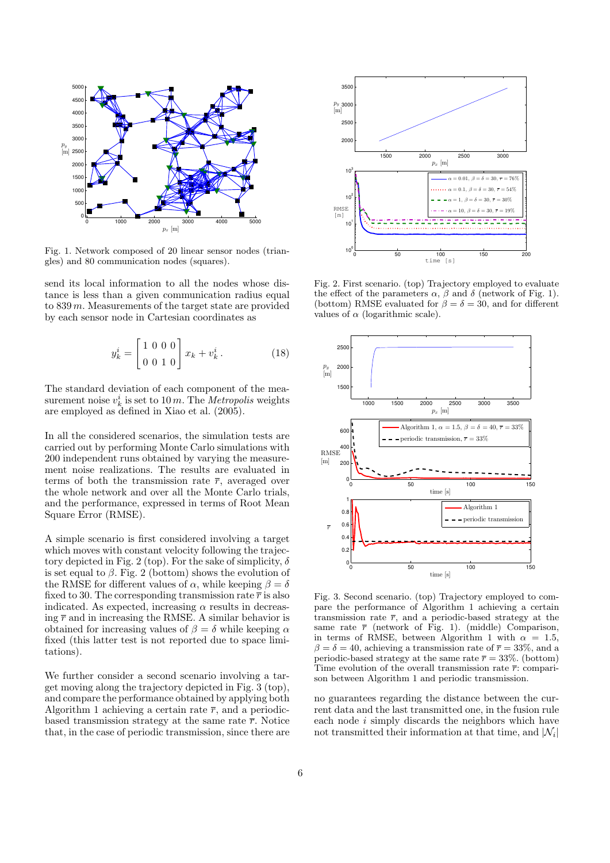

Fig. 1. Network composed of 20 linear sensor nodes (triangles) and 80 communication nodes (squares).

send its local information to all the nodes whose distance is less than a given communication radius equal to 839 m. Measurements of the target state are provided by each sensor node in Cartesian coordinates as

$$
y_k^i = \begin{bmatrix} 1 & 0 & 0 & 0 \\ 0 & 0 & 1 & 0 \end{bmatrix} x_k + v_k^i.
$$
 (18)

The standard deviation of each component of the measurement noise  $v_k^i$  is set to 10 m. The *Metropolis* weights are employed as defined in Xiao et al. (2005).

In all the considered scenarios, the simulation tests are carried out by performing Monte Carlo simulations with 200 independent runs obtained by varying the measurement noise realizations. The results are evaluated in terms of both the transmission rate  $\bar{r}$ , averaged over the whole network and over all the Monte Carlo trials, and the performance, expressed in terms of Root Mean Square Error (RMSE).

A simple scenario is first considered involving a target which moves with constant velocity following the trajectory depicted in Fig. 2 (top). For the sake of simplicity,  $\delta$ is set equal to  $\beta$ . Fig. 2 (bottom) shows the evolution of the RMSE for different values of  $\alpha$ , while keeping  $\beta = \delta$ fixed to 30. The corresponding transmission rate  $\bar{r}$  is also indicated. As expected, increasing  $\alpha$  results in decreasing  $\bar{r}$  and in increasing the RMSE. A similar behavior is obtained for increasing values of  $\beta = \delta$  while keeping  $\alpha$ fixed (this latter test is not reported due to space limitations).

We further consider a second scenario involving a target moving along the trajectory depicted in Fig. 3 (top), and compare the performance obtained by applying both Algorithm 1 achieving a certain rate  $\bar{r}$ , and a periodicbased transmission strategy at the same rate  $\bar{r}$ . Notice that, in the case of periodic transmission, since there are



Fig. 2. First scenario. (top) Trajectory employed to evaluate the effect of the parameters  $\alpha$ ,  $\beta$  and  $\delta$  (network of Fig. 1). (bottom) RMSE evaluated for  $\beta = \delta = 30$ , and for different values of  $\alpha$  (logarithmic scale).



Fig. 3. Second scenario. (top) Trajectory employed to compare the performance of Algorithm 1 achieving a certain transmission rate  $\bar{r}$ , and a periodic-based strategy at the same rate  $\bar{r}$  (network of Fig. 1). (middle) Comparison, in terms of RMSE, between Algorithm 1 with  $\alpha = 1.5$ ,  $\beta = \delta = 40$ , achieving a transmission rate of  $\bar{r} = 33\%$ , and a periodic-based strategy at the same rate  $\bar{r} = 33\%$ . (bottom) Time evolution of the overall transmission rate  $\bar{r}$ : comparison between Algorithm 1 and periodic transmission.

no guarantees regarding the distance between the current data and the last transmitted one, in the fusion rule each node i simply discards the neighbors which have not transmitted their information at that time, and  $|\mathcal{N}_i|$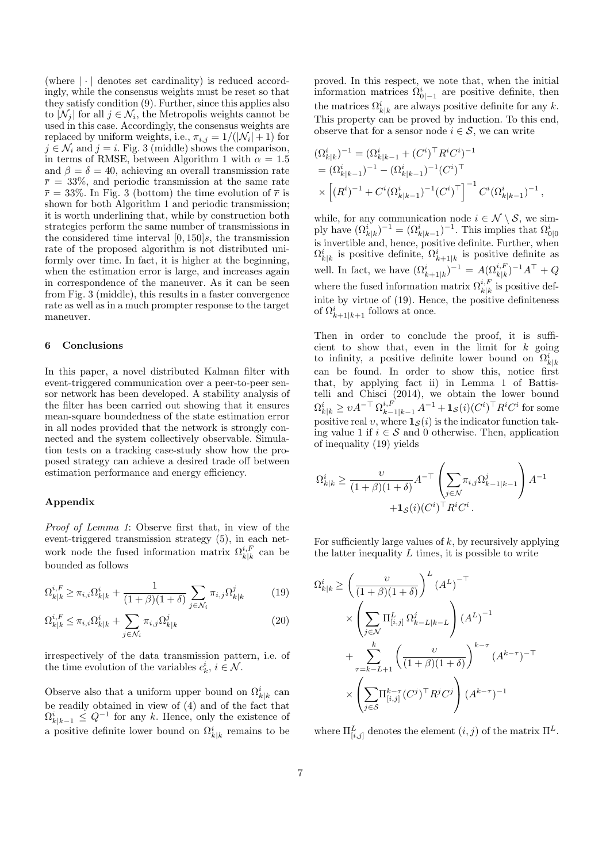(where  $|\cdot|$  denotes set cardinality) is reduced accordingly, while the consensus weights must be reset so that they satisfy condition (9). Further, since this applies also to  $|\mathcal{N}_j|$  for all  $j \in \mathcal{N}_i$ , the Metropolis weights cannot be used in this case. Accordingly, the consensus weights are replaced by uniform weights, i.e.,  $\pi_{i,j} = 1/(|\mathcal{N}_i| + 1)$  for  $j \in \mathcal{N}_i$  and  $j = i$ . Fig. 3 (middle) shows the comparison, in terms of RMSE, between Algorithm 1 with  $\alpha = 1.5$ and  $\beta = \delta = 40$ , achieving an overall transmission rate  $\bar{r} = 33\%$ , and periodic transmission at the same rate  $\bar{r} = 33\%$ . In Fig. 3 (bottom) the time evolution of  $\bar{r}$  is shown for both Algorithm 1 and periodic transmission; it is worth underlining that, while by construction both strategies perform the same number of transmissions in the considered time interval  $[0, 150]s$ , the transmission rate of the proposed algorithm is not distributed uniformly over time. In fact, it is higher at the beginning, when the estimation error is large, and increases again in correspondence of the maneuver. As it can be seen from Fig. 3 (middle), this results in a faster convergence rate as well as in a much prompter response to the target maneuver.

#### 6 Conclusions

In this paper, a novel distributed Kalman filter with event-triggered communication over a peer-to-peer sensor network has been developed. A stability analysis of the filter has been carried out showing that it ensures mean-square boundedness of the state estimation error in all nodes provided that the network is strongly connected and the system collectively observable. Simulation tests on a tracking case-study show how the proposed strategy can achieve a desired trade off between estimation performance and energy efficiency.

#### Appendix

Proof of Lemma 1: Observe first that, in view of the event-triggered transmission strategy (5), in each network node the fused information matrix  $\Omega_{k|k}^{i,F}$  can be bounded as follows

$$
\Omega_{k|k}^{i,F} \ge \pi_{i,i}\Omega_{k|k}^i + \frac{1}{(1+\beta)(1+\delta)} \sum_{j \in \mathcal{N}_i} \pi_{i,j}\Omega_{k|k}^j \tag{19}
$$

$$
\Omega_{k|k}^{i,F} \le \pi_{i,i}\Omega_{k|k}^i + \sum_{j \in \mathcal{N}_i} \pi_{i,j}\Omega_{k|k}^j \tag{20}
$$

irrespectively of the data transmission pattern, i.e. of the time evolution of the variables  $c_k^i$ ,  $i \in \mathcal{N}$ .

Observe also that a uniform upper bound on  $\Omega_k^i|_k$  can be readily obtained in view of (4) and of the fact that  $\Omega_{k|k-1}^i \leq Q^{-1}$  for any k. Hence, only the existence of a positive definite lower bound on  $\Omega^i_{k|k}$  remains to be

proved. In this respect, we note that, when the initial information matrices  $\Omega_{0|-1}^i$  are positive definite, then the matrices  $\Omega^i_{k|k}$  are always positive definite for any k. This property can be proved by induction. To this end, observe that for a sensor node  $i \in \mathcal{S}$ , we can write

$$
\begin{split} & (\Omega_{k|k}^i)^{-1} = (\Omega_{k|k-1}^i + (C^i)^\top R^i C^i)^{-1} \\ & = (\Omega_{k|k-1}^i)^{-1} - (\Omega_{k|k-1}^i)^{-1} (C^i)^\top \\ & \times \left[ (R^i)^{-1} + C^i (\Omega_{k|k-1}^i)^{-1} (C^i)^\top \right]^{-1} C^i (\Omega_{k|k-1}^i)^{-1} \,, \end{split}
$$

while, for any communication node  $i \in \mathcal{N} \setminus \mathcal{S}$ , we simply have  $(\Omega_{k|k}^i)^{-1} = (\Omega_{k|k-1}^i)^{-1}$ . This implies that  $\Omega_{0|0}^i$ is invertible and, hence, positive definite. Further, when  $\Omega_{k|k}^i$  is positive definite,  $\Omega_{k+1|k}^i$  is positive definite as well. In fact, we have  $(\Omega_{k+1|k}^i)^{-1} = A(\Omega_{k|k}^{i,F})^{-1}A^{\top} + Q$ where the fused information matrix  $\Omega_{k|k}^{i,F}$  is positive definite by virtue of (19). Hence, the positive definiteness of  $\Omega_{k+1|k+1}^i$  follows at once.

Then in order to conclude the proof, it is sufficient to show that, even in the limit for  $k$  going to infinity, a positive definite lower bound on  $\Omega^i_{k|k}$ can be found. In order to show this, notice first that, by applying fact ii) in Lemma 1 of Battistelli and Chisci (2014), we obtain the lower bound  $\Omega^i_{k|k} \geq vA^{-\top} \Omega^{i,F}_{k-1|k-1} A^{-1} + \mathbf{1}_{\mathcal{S}}(i)(C^i)^\top R^i C^i$  for some positive real v, where  $\mathbf{1}_{\mathcal{S}}(i)$  is the indicator function taking value 1 if  $i \in \mathcal{S}$  and 0 otherwise. Then, application of inequality (19) yields

$$
\Omega_{k|k}^i \ge \frac{\upsilon}{(1+\beta)(1+\delta)} A^{-\top} \left( \sum_{j \in \mathcal{N}} \pi_{i,j} \Omega_{k-1|k-1}^j \right) A^{-1} + \mathbf{1}_{\mathcal{S}}(i) (C^i)^{\top} R^i C^i.
$$

For sufficiently large values of  $k$ , by recursively applying the latter inequality  $L$  times, it is possible to write

$$
\Omega_{k|k}^{i} \geq \left(\frac{\upsilon}{(1+\beta)(1+\delta)}\right)^{L} (A^{L})^{-\top}
$$

$$
\times \left(\sum_{j\in\mathcal{N}} \Pi_{[i,j]}^{L} \Omega_{k-L|k-L}^{j}\right) (A^{L})^{-1}
$$

$$
+ \sum_{\tau=k-L+1}^{k} \left(\frac{\upsilon}{(1+\beta)(1+\delta)}\right)^{k-\tau} (A^{k-\tau})^{-\top}
$$

$$
\times \left(\sum_{j\in\mathcal{S}} \Pi_{[i,j]}^{k-\tau} (C^{j})^{\top} R^{j} C^{j}\right) (A^{k-\tau})^{-1}
$$

where  $\Pi_{[i,j]}^L$  denotes the element  $(i,j)$  of the matrix  $\Pi^L$ .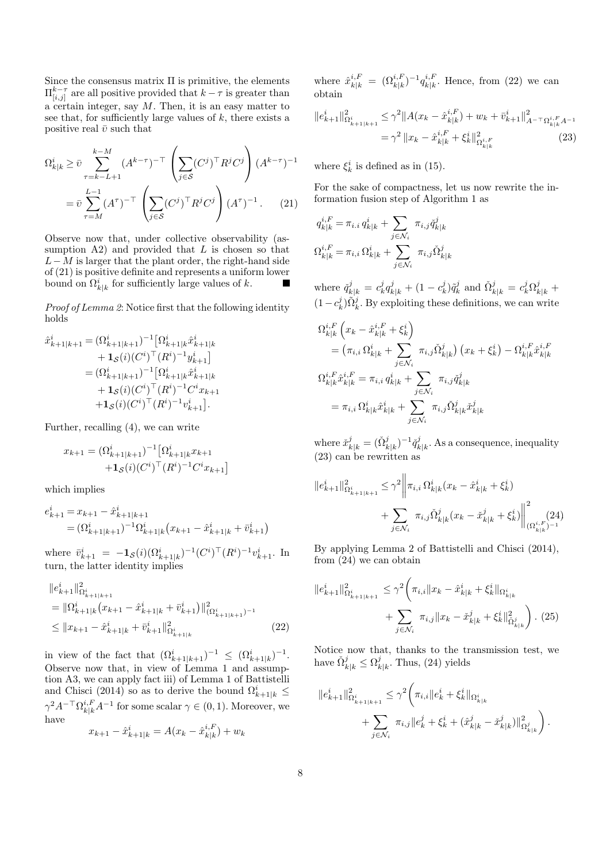Since the consensus matrix  $\Pi$  is primitive, the elements  $\Pi_{[i,j]}^{k-\tau}$  are all positive provided that  $k-\tau$  is greater than a certain integer, say  $M$ . Then, it is an easy matter to see that, for sufficiently large values of  $k$ , there exists a positive real  $\bar{v}$  such that

$$
\Omega_{k|k}^{i} \geq \bar{v} \sum_{\tau=k-L+1}^{k-M} (A^{k-\tau})^{-\top} \left( \sum_{j \in S} (C^{j})^{\top} R^{j} C^{j} \right) (A^{k-\tau})^{-1}
$$

$$
= \bar{v} \sum_{\tau=M}^{L-1} (A^{\tau})^{-\top} \left( \sum_{j \in S} (C^{j})^{\top} R^{j} C^{j} \right) (A^{\tau})^{-1}. \tag{21}
$$

Observe now that, under collective observability (assumption  $A2$ ) and provided that L is chosen so that  $L-M$  is larger that the plant order, the right-hand side of (21) is positive definite and represents a uniform lower bound on  $\Omega^i_{k|k}$  for sufficiently large values of k. п

Proof of Lemma 2: Notice first that the following identity holds

$$
\hat{x}_{k+1|k+1}^{i} = (\Omega_{k+1|k+1}^{i})^{-1} [\Omega_{k+1|k}^{i} \hat{x}_{k+1|k}^{i} \n+ \mathbf{1}_{\mathcal{S}}(i) (C^{i})^{\top} (R^{i})^{-1} y_{k+1}^{i}] \n= (\Omega_{k+1|k+1}^{i})^{-1} [\Omega_{k+1|k}^{i} \hat{x}_{k+1|k}^{i} \n+ \mathbf{1}_{\mathcal{S}}(i) (C^{i})^{\top} (R^{i})^{-1} C^{i} x_{k+1} \n+ \mathbf{1}_{\mathcal{S}}(i) (C^{i})^{\top} (R^{i})^{-1} v_{k+1}^{i}].
$$

Further, recalling (4), we can write

$$
x_{k+1} = (\Omega_{k+1|k+1}^i)^{-1} [\Omega_{k+1|k}^i x_{k+1} + \mathbf{1}_{\mathcal{S}}(i)(C^i)^\top (R^i)^{-1} C^i x_{k+1}]
$$

which implies

$$
e_{k+1}^i = x_{k+1} - \hat{x}_{k+1|k+1}^i
$$
  
=  $(\Omega_{k+1|k+1}^i)^{-1} \Omega_{k+1|k}^i (x_{k+1} - \hat{x}_{k+1|k}^i + \bar{v}_{k+1}^i)$ 

where  $\bar{v}_{k+1}^i = -\mathbf{1}_{\mathcal{S}}(i)(\Omega_{k+1|k}^i)^{-1}(C^i)^\top (R^i)^{-1} v_{k+1}^i$ . In turn, the latter identity implies

$$
\|e_{k+1}^{i}\|_{\Omega_{k+1|k+1}^{i}}^{2}
$$
\n
$$
= \|\Omega_{k+1|k}^{i}(x_{k+1} - \hat{x}_{k+1|k}^{i} + \bar{v}_{k+1}^{i})\|_{(\Omega_{k+1|k+1}^{i})^{-1}}^{2}
$$
\n
$$
\leq \|x_{k+1} - \hat{x}_{k+1|k}^{i} + \bar{v}_{k+1}^{i}\|_{\Omega_{k+1|k}^{i}}^{2}
$$
\n(22)

in view of the fact that  $({\Omega_{k+1|k+1}^i})^{-1} \leq ({\Omega_{k+1|k}^i})^{-1}$ . Observe now that, in view of Lemma 1 and assumption A3, we can apply fact iii) of Lemma 1 of Battistelli and Chisci (2014) so as to derive the bound  $\Omega_{k+1|k}^{i} \leq$  $\gamma^2 A^{-\top} \Omega_{k|k}^{i,F} A^{-1}$  for some scalar  $\gamma \in (0,1)$ . Moreover, we have

$$
x_{k+1} - \hat{x}_{k+1|k}^i = A(x_k - \hat{x}_{k|k}^{i,F}) + w_k
$$

where  $\hat{x}_{k|k}^{i,F} = (\Omega_{k|k}^{i,F})^{-1} q_{k|k}^{i,F}$  $\binom{i,r}{k|k}$ . Hence, from (22) we can obtain

$$
||e_{k+1}^{i}||_{\Omega_{k+1|k+1}^{i}}^{2} \leq \gamma^{2}||A(x_{k} - \hat{x}_{k|k}^{i,F}) + w_{k} + \bar{v}_{k+1}^{i}||_{A^{-\top}\Omega_{k|k}^{i,F}A^{-1}}^{2}
$$

$$
= \gamma^{2}||x_{k} - \hat{x}_{k|k}^{i,F} + \xi_{k}^{i}||_{\Omega_{k|k}^{i,F}}^{2} \tag{23}
$$

where  $\xi_k^i$  is defined as in (15).

For the sake of compactness, let us now rewrite the information fusion step of Algorithm 1 as

$$
q_{k|k}^{i,F} = \pi_{i,i} q_{k|k}^i + \sum_{j \in \mathcal{N}_i} \pi_{i,j} \check{q}_{k|k}^j
$$

$$
\Omega_{k|k}^{i,F} = \pi_{i,i} \Omega_{k|k}^i + \sum_{j \in \mathcal{N}_i} \pi_{i,j} \check{\Omega}_{k|k}^j
$$

where  $\check{q}_{k|k}^j = c_k^j q_{k|k}^j + (1 - c_k^j)\tilde{q}_k^j$  and  $\check{\Omega}_{k|k}^j = c_k^j \Omega_{k|k}^j +$  $(1 - c_k^j)\tilde{\Omega}_k^j$ . By exploiting these definitions, we can write

$$
\Omega_{k|k}^{i,F} (x_k - \hat{x}_{k|k}^{i,F} + \xi_k^i) \n= (\pi_{i,i} \Omega_{k|k}^i + \sum_{j \in \mathcal{N}_i} \pi_{i,j} \tilde{\Omega}_{k|k}^j) (x_k + \xi_k^i) - \Omega_{k|k}^{i,F} \hat{x}_{k|k}^{i,F} \n\Omega_{k|k}^{i,F} \hat{x}_{k|k}^{i,F} = \pi_{i,i} q_{k|k}^i + \sum_{j \in \mathcal{N}_i} \pi_{i,j} \tilde{q}_{k|k}^j \n= \pi_{i,i} \Omega_{k|k}^i \hat{x}_{k|k}^i + \sum_{j \in \mathcal{N}_i} \pi_{i,j} \tilde{\Omega}_{k|k}^j \check{x}_{k|k}^j
$$

where  $\check{x}_{k|k}^j = (\check{\Omega}_{k|k}^j)^{-1} \check{q}_k^j$  $k|k$ . As a consequence, inequality (23) can be rewritten as

$$
||e_{k+1}^{i}||_{\Omega_{k+1|k+1}^{i}}^{2} \leq \gamma^{2} \left\| \pi_{i,i} \Omega_{k|k}^{i}(x_{k} - \hat{x}_{k|k}^{i} + \xi_{k}^{i}) + \sum_{j \in \mathcal{N}_{i}} \pi_{i,j} \tilde{\Omega}_{k|k}^{j}(x_{k} - \tilde{x}_{k|k}^{j} + \xi_{k}^{i}) \right\|_{(\Omega_{k|k}^{i,F})^{-1}}^{2}
$$

By applying Lemma 2 of Battistelli and Chisci (2014), from (24) we can obtain

$$
||e_{k+1}^{i}||_{\Omega_{k+1|k+1}^{i}}^{2} \leq \gamma^{2} \bigg(\pi_{i,i}||x_{k} - \hat{x}_{k|k}^{i} + \xi_{k}^{i}||_{\Omega_{k|k}^{i}} + \sum_{j \in \mathcal{N}_{i}} \pi_{i,j}||x_{k} - \check{x}_{k|k}^{j} + \xi_{k}^{i}||_{\tilde{\Omega}_{k|k}^{j}}^{2}\bigg). (25)
$$

Notice now that, thanks to the transmission test, we have  $\check{\Omega}_{k|k}^j \leq \Omega_k^j$  $\frac{d}{k|k}$ . Thus, (24) yields

$$
\label{eq:22} \begin{split} \|e_{k+1}^i\|^2_{\Omega^i_{k+1|k+1}} &\leq \gamma^2 \bigg( \pi_{i,i} \|e_k^i + \xi_k^i\|_{\Omega^i_{k|k}} \\ &\quad + \sum_{j \in \mathcal{N}_i} \ \pi_{i,j} \|e_k^j + \xi_k^i + (\hat{x}^j_{k|k} - \check{x}^j_{k|k})\|^2_{\Omega^j_{k|k}} \bigg) \,. \end{split}
$$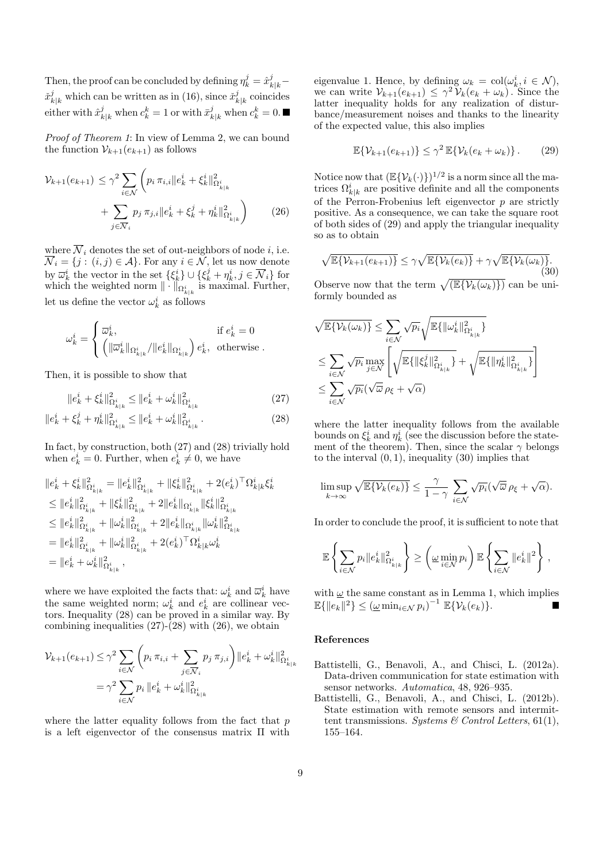Then, the proof can be concluded by defining  $\eta_k^j = \hat{x}_{k|k}^j \check{x}_{k|k}^j$  which can be written as in (16), since  $\check{x}_k^j$  $k|k$  coincides either with  $\hat{x}_{k|k}^j$  when  $c_k^k = 1$  or with  $\bar{x}_{k|k}^j$  when  $c_k^k = 0$ .

Proof of Theorem 1: In view of Lemma 2, we can bound the function  $\mathcal{V}_{k+1}(e_{k+1})$  as follows

$$
\mathcal{V}_{k+1}(e_{k+1}) \leq \gamma^2 \sum_{i \in \mathcal{N}} \left( p_i \, \pi_{i,i} \| e_k^i + \xi_k^i \|_{\Omega_{k|k}^i}^2 + \sum_{j \in \overline{\mathcal{N}}_i} p_j \, \pi_{j,i} \| e_k^i + \xi_k^j + \eta_k^i \|_{\Omega_{k|k}^i}^2 \right) \tag{26}
$$

where  $\overline{\mathcal{N}}_i$  denotes the set of out-neighbors of node *i*, i.e.  $\overline{\mathcal{N}}_i = \{j : (i, j) \in \mathcal{A}\}.$  For any  $i \in \overline{\mathcal{N}}$ , let us now denote by  $\overline{\omega}_k^i$  the vector in the set  $\{\xi_k^i\} \cup \{\xi_k^j + \eta_k^i, j \in \overline{\mathcal{N}}_i\}$  for which the weighted norm  $\|\cdot\|_{\Omega^i_{k|k}}$  is maximal. Further, let us define the vector  $\omega_k^i$  as follows

$$
\omega^i_k = \begin{cases} \overline{\omega}^i_k, & \text{if } e^i_k = 0\\ \left( \|\overline{\omega}^i_k\|_{\Omega^i_{k|k}}/\|e^i_k\|_{\Omega^i_{k|k}} \right)e^i_k, & \text{otherwise} \ . \end{cases}
$$

Then, it is possible to show that

$$
||e_k^i + \xi_k^i||_{\Omega_{k|k}^i}^2 \le ||e_k^i + \omega_k^i||_{\Omega_{k|k}^i}^2
$$
\n(27)

$$
||e_k^i + \xi_k^j + \eta_k^i||_{\Omega_{k|k}^i}^2 \le ||e_k^i + \omega_k^i||_{\Omega_{k|k}^i}^2.
$$
 (28)

In fact, by construction, both (27) and (28) trivially hold when  $e_k^i = 0$ . Further, when  $e_k^i \neq 0$ , we have

$$
\begin{aligned} &\|e_k^i + \xi_k^i\|^2_{\Omega^i_{k|k}} = \|e_k^i\|^2_{\Omega^i_{k|k}} + \|\xi_k^i\|^2_{\Omega^i_{k|k}} + 2(e_k^i)^\top \Omega^i_{k|k} \xi_k^i \\ &\leq \|e_k^i\|^2_{\Omega^i_{k|k}} + \|\xi_k^i\|^2_{\Omega^i_{k|k}} + 2\|e_k^i\|_{\Omega^i_{k|k}} \|\xi_k^i\|^2_{\Omega^i_{k|k}} \\ &\leq \|e_k^i\|^2_{\Omega^i_{k|k}} + \|\omega_k^i\|^2_{\Omega^i_{k|k}} + 2\|e_k^i\|_{\Omega^i_{k|k}} \|\omega_k^i\|^2_{\Omega^i_{k|k}} \\ &= \|e_k^i\|^2_{\Omega^i_{k|k}} + \|\omega_k^i\|^2_{\Omega^i_{k|k}} + 2(e_k^i)^\top \Omega^i_{k|k} \omega_k^i \\ &= \|e_k^i + \omega_k^i\|^2_{\Omega^i_{k|k}}, \end{aligned}
$$

where we have exploited the facts that:  $\omega_k^i$  and  $\overline{\omega}_k^i$  have the same weighted norm;  $\omega_k^i$  and  $e_k^i$  are collinear vectors. Inequality  $(28)$  can be proved in a similar way. By combining inequalities  $(27)-(28)$  with  $(26)$ , we obtain

$$
\mathcal{V}_{k+1}(e_{k+1}) \leq \gamma^2 \sum_{i \in \mathcal{N}} \left( p_i \, \pi_{i,i} + \sum_{j \in \overline{\mathcal{N}}_i} p_j \, \pi_{j,i} \right) \| e_k^i + \omega_k^i \|_{\Omega_{k|k}^i}^2
$$

$$
= \gamma^2 \sum_{i \in \mathcal{N}} p_i \| e_k^i + \omega_k^i \|_{\Omega_{k|k}^i}^2
$$

where the latter equality follows from the fact that  $p$ is a left eigenvector of the consensus matrix Π with

eigenvalue 1. Hence, by defining  $\omega_k = col(\omega_k^i, i \in \mathcal{N}),$ we can write  $\mathcal{V}_{k+1}(e_{k+1}) \leq \gamma^2 \tilde{\mathcal{V}}_k(e_k + \omega_k)$ . Since the latter inequality holds for any realization of disturbance/measurement noises and thanks to the linearity of the expected value, this also implies

$$
\mathbb{E}\{\mathcal{V}_{k+1}(e_{k+1})\} \le \gamma^2 \mathbb{E}\{\mathcal{V}_k(e_k + \omega_k)\}.
$$
 (29)

Notice now that  $(\mathbb{E}\{\mathcal{V}_k(\cdot)\})^{1/2}$  is a norm since all the matrices  $\Omega_{k|k}^{i}$  are positive definite and all the components of the Perron-Frobenius left eigenvector  $p$  are strictly positive. As a consequence, we can take the square root of both sides of (29) and apply the triangular inequality so as to obtain

$$
\sqrt{\mathbb{E}\{\mathcal{V}_{k+1}(e_{k+1})\}} \leq \gamma \sqrt{\mathbb{E}\{\mathcal{V}_k(e_k)\} + \gamma \sqrt{\mathbb{E}\{\mathcal{V}_k(\omega_k)\}}}. \tag{30}
$$

Observe now that the term  $\sqrt{(\mathbb{E}\{\mathcal{V}_k(\omega_k)\})}$  can be uniformly bounded as

$$
\begin{aligned} & \sqrt{\mathbb{E}\{\mathcal{V}_k(\omega_k)\}} \leq \sum_{i \in \mathcal{N}} \sqrt{p_i} \sqrt{\mathbb{E}\{\|\omega_k^i\|_{\Omega_{k|k}^i}^2\}} \\ & \leq \sum_{i \in \mathcal{N}} \sqrt{p_i} \max_{j \in \mathcal{N}} \left[ \sqrt{\mathbb{E}\{\|\xi_k^j\|_{\Omega_{k|k}^i}^2\}} + \sqrt{\mathbb{E}\{\|\eta_k^i\|_{\Omega_{k|k}^i}^2\}} \right] \\ & \leq \sum_{i \in \mathcal{N}} \sqrt{p_i} (\sqrt{\overline{\omega}} \,\rho_{\xi} + \sqrt{\alpha}) \end{aligned}
$$

where the latter inequality follows from the available bounds on  $\xi_k^i$  and  $\eta_k^i$  (see the discussion before the statement of the theorem). Then, since the scalar  $\gamma$  belongs to the interval  $(0, 1)$ , inequality  $(30)$  implies that

$$
\limsup_{k \to \infty} \sqrt{\mathbb{E}\{ \mathcal{V}_k(e_k) \}} \leq \frac{\gamma}{1-\gamma} \sum_{i \in \mathcal{N}} \sqrt{p_i} (\sqrt{\overline{\omega}} \,\rho_{\xi} + \sqrt{\alpha}).
$$

In order to conclude the proof, it is sufficient to note that

$$
\mathbb{E}\left\{\sum_{i\in\mathcal{N}}p_i\|e_k^i\|_{\Omega_{k|k}^i}^2\right\} \ge \left(\underline{\omega}\min_{i\in\mathcal{N}}p_i\right)\mathbb{E}\left\{\sum_{i\in\mathcal{N}}\|e_k^i\|^2\right\},\,
$$

with  $\underline{\omega}$  the same constant as in Lemma 1, which implies  $\mathbb{E}\{\|e_k\|^2\} \leq (\underline{\omega} \min_{i \in \mathcal{N}} p_i)^{-1} \mathbb{E}\{\mathcal{V}_k(e_k)\}.$ 

#### References

- Battistelli, G., Benavoli, A., and Chisci, L. (2012a). Data-driven communication for state estimation with sensor networks. Automatica, 48, 926–935.
- Battistelli, G., Benavoli, A., and Chisci, L. (2012b). State estimation with remote sensors and intermittent transmissions. Systems  $\mathcal B$  Control Letters, 61(1), 155–164.